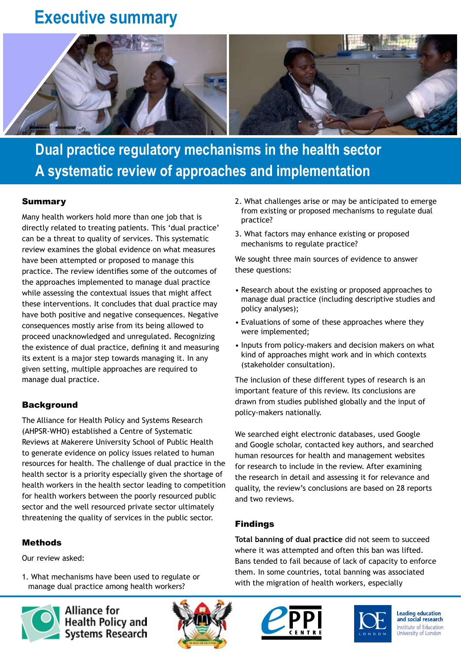# **Executive summary**



# **Dual practice regulatory mechanisms in the health sector A systematic review of approaches and implementation**

### Summary

Many health workers hold more than one job that is directly related to treating patients. This 'dual practice' can be a threat to quality of services. This systematic review examines the global evidence on what measures have been attempted or proposed to manage this practice. The review identifies some of the outcomes of the approaches implemented to manage dual practice while assessing the contextual issues that might affect these interventions. It concludes that dual practice may have both positive and negative consequences. Negative consequences mostly arise from its being allowed to proceed unacknowledged and unregulated. Recognizing the existence of dual practice, defining it and measuring its extent is a major step towards managing it. In any given setting, multiple approaches are required to manage dual practice.

#### **Background**

The Alliance for Health Policy and Systems Research (AHPSR-WHO) established a Centre of Systematic Reviews at Makerere University School of Public Health to generate evidence on policy issues related to human resources for health. The challenge of dual practice in the health sector is a priority especially given the shortage of health workers in the health sector leading to competition for health workers between the poorly resourced public sector and the well resourced private sector ultimately threatening the quality of services in the public sector.

#### Methods

Our review asked:

1. What mechanisms have been used to regulate or manage dual practice among health workers?



**Alliance for** Health Policy and<br>Systems Research



- 2. What challenges arise or may be anticipated to emerge from existing or proposed mechanisms to regulate dual practice?
- 3. What factors may enhance existing or proposed mechanisms to regulate practice?

We sought three main sources of evidence to answer these questions:

- Research about the existing or proposed approaches to manage dual practice (including descriptive studies and policy analyses);
- Evaluations of some of these approaches where they were implemented;
- Inputs from policy-makers and decision makers on what kind of approaches might work and in which contexts (stakeholder consultation).

The inclusion of these different types of research is an important feature of this review. Its conclusions are drawn from studies published globally and the input of policy-makers nationally.

We searched eight electronic databases, used Google and Google scholar, contacted key authors, and searched human resources for health and management websites for research to include in the review. After examining the research in detail and assessing it for relevance and quality, the review's conclusions are based on 28 reports and two reviews.

## Findings

**Total banning of dual practice** did not seem to succeed where it was attempted and often this ban was lifted. Bans tended to fail because of lack of capacity to enforce them. In some countries, total banning was associated with the migration of health workers, especially





Leading education<br>and social research Institute of Education University of London